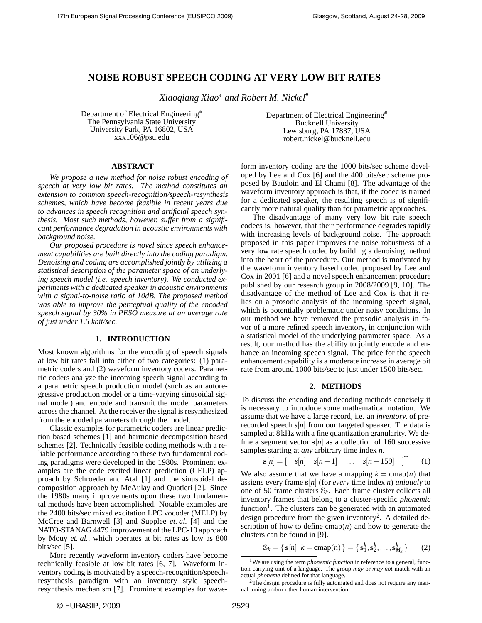# **NOISE ROBUST SPEECH CODING AT VERY LOW BIT RATES**

*Xiaoqiang Xiao*<sup>∗</sup> *and Robert M. Nickel*#

Department of Electrical Engineering<sup>∗</sup> The Pennsylvania State University University Park, PA 16802, USA xxx106@psu.edu

Department of Electrical Engineering# Bucknell University Lewisburg, PA 17837, USA robert.nickel@bucknell.edu

## **ABSTRACT**

*We propose a new method for noise robust encoding of speech at very low bit rates. The method constitutes an extension to common speech-recognition/speech-resynthesis schemes, which have become feasible in recent years due to advances in speech recognition and artificial speech synthesis. Most such methods, however, suffer from a significant performance degradation in acoustic environments with background noise.*

*Our proposed procedure is novel since speech enhancement capabilities are built directly into the coding paradigm. Denoising and coding are accomplished jointly by utilizing a statistical description of the parameter space of an underlying speech model (i.e. speech inventory). We conducted experiments with a dedicated speaker in acoustic environments with a signal-to-noise ratio of 10dB. The proposed method was able to improve the perceptual quality of the encoded speech signal by 30% in PESQ measure at an average rate of just under 1.5 kbit/sec.*

### **1. INTRODUCTION**

Most known algorithms for the encoding of speech signals at low bit rates fall into either of two categories: (1) parametric coders and (2) waveform inventory coders. Parametric coders analyze the incoming speech signal according to a parametric speech production model (such as an autoregressive production model or a time-varying sinusoidal signal model) and encode and transmit the model parameters across the channel. At the receiver the signal is resynthesized from the encoded parameters through the model.

Classic examples for parametric coders are linear prediction based schemes [1] and harmonic decomposition based schemes [2]. Technically feasible coding methods with a reliable performance according to these two fundamental coding paradigms were developed in the 1980s. Prominent examples are the code excited linear prediction (CELP) approach by Schroeder and Atal [1] and the sinusoidal decomposition approach by McAulay and Quatieri [2]. Since the 1980s many improvements upon these two fundamental methods have been accomplished. Notable examples are the 2400 bits/sec mixed excitation LPC vocoder (MELP) by McCree and Barnwell [3] and Supplee *et. al.* [4] and the NATO-STANAG 4479 improvement of the LPC-10 approach by Mouy *et. al.,* which operates at bit rates as low as 800 bits/sec [5].

More recently waveform inventory coders have become technically feasible at low bit rates [6, 7]. Waveform inventory coding is motivated by a speech-recognition/speechresynthesis paradigm with an inventory style speechresynthesis mechanism [7]. Prominent examples for waveform inventory coding are the 1000 bits/sec scheme developed by Lee and Cox [6] and the 400 bits/sec scheme proposed by Baudoin and El Chami [8]. The advantage of the waveform inventory approach is that, if the codec is trained for a dedicated speaker, the resulting speech is of significantly more natural quality than for parametric approaches.

The disadvantage of many very low bit rate speech codecs is, however, that their performance degrades rapidly with increasing levels of background noise. The approach proposed in this paper improves the noise robustness of a very low rate speech codec by building a denoising method into the heart of the procedure. Our method is motivated by the waveform inventory based codec proposed by Lee and Cox in 2001 [6] and a novel speech enhancement procedure published by our research group in 2008/2009 [9, 10]. The disadvantage of the method of Lee and Cox is that it relies on a prosodic analysis of the incoming speech signal, which is potentially problematic under noisy conditions. In our method we have removed the prosodic analysis in favor of a more refined speech inventory, in conjunction with a statistical model of the underlying parameter space. As a result, our method has the ability to jointly encode and enhance an incoming speech signal. The price for the speech enhancement capability is a moderate increase in average bit rate from around 1000 bits/sec to just under 1500 bits/sec.

## **2. METHODS**

To discuss the encoding and decoding methods concisely it is necessary to introduce some mathematical notation. We assume that we have a large record, i.e. an *inventory,* of prerecorded speech *s*[*n*] from our targeted speaker. The data is sampled at 8kHz with a fine quantization granularity. We define a segment vector  $s[n]$  as a collection of 160 successive samples starting at *any* arbitrary time index *n*.

$$
\mathbf{s}[n] = \begin{bmatrix} s[n] & s[n+1] & \dots & s[n+159] \end{bmatrix}^T \quad (1)
$$

We also assume that we have a mapping  $k = \text{cmap}(n)$  that assigns every frame  $s|n|$  (for *every* time index *n*) *uniquely* to one of 50 frame clusters  $\mathbb{S}_k$ . Each frame cluster collects all inventory frames that belong to a cluster-specific *phonemic* function<sup>1</sup>. The clusters can be generated with an automated design procedure from the given inventory<sup>2</sup>. A detailed description of how to define  $\text{cmap}(n)$  and how to generate the clusters can be found in [9].

$$
\mathbb{S}_k = \{ \mathbf{s}[n] \, | \, k = \text{cmap}(n) \} = \{ \mathbf{s}_1^k, \mathbf{s}_2^k, \dots, \mathbf{s}_{M_k}^k \} \tag{2}
$$

<sup>&</sup>lt;sup>1</sup>We are using the term *phonemic function* in reference to a general, function carrying unit of a language. The group *may* or *may not* match with an actual *phoneme* defined for that language.

<sup>&</sup>lt;sup>2</sup>The design procedure is fully automated and does not require any manual tuning and/or other human intervention.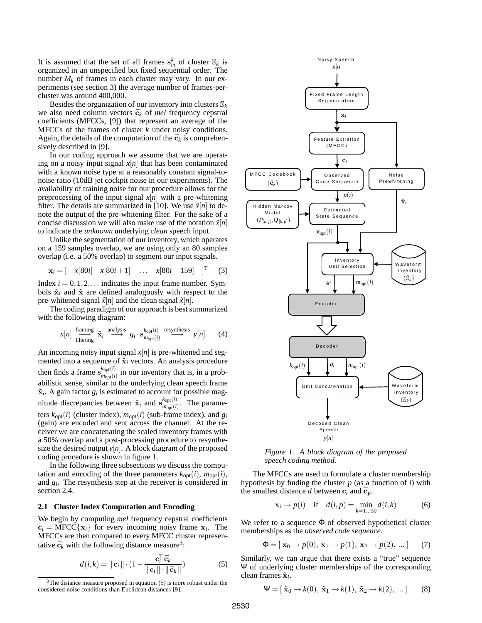It is assumed that the set of all frames  $s_m^k$  of cluster  $\mathbb{S}_k$  is organized in an unspecified but fixed sequential order. The number  $M_k$  of frames in each cluster may vary. In our experiments (see section 3) the average number of frames-percluster was around 400,000.

Besides the organization of our inventory into clusters  $\mathbb{S}_k$ we also need column vectors  $\bar{c}_k$  of *mel* frequency cepstral coefficients (MFCCs, [9]) that represent an average of the MFCCs of the frames of cluster *k* under noisy conditions. Again, the details of the computation of the  $\vec{c}_k$  is comprehensively described in [9].

In our coding approach we assume that we are operating on a noisy input signal  $x[n]$  that has been contaminated with a known noise type at a reasonably constant signal-tonoise ratio (10dB jet cockpit noise in our experiments). The availability of training noise for our procedure allows for the preprocessing of the input signal  $x[n]$  with a pre-whitening filter. The details are summarized in [10]. We use  $\hat{x}[n]$  to denote the output of the pre-whitening filter. For the sake of a concise discussion we will also make use of the notation  $\tilde{x}[n]$ to indicate the *unknown* underlying *clean* speech input.

Unlike the segmentation of our inventory, which operates on a 159 samples overlap, we are using only an 80 samples overlap (i.e. a 50% overlap) to segment our input signals.

$$
\mathbf{x}_i = \begin{bmatrix} x[80i] & x[80i+1] & \dots & x[80i+159] \end{bmatrix}^T \quad (3)
$$

Index  $i = 0, 1, 2, \ldots$  indicates the input frame number. Symbols  $\hat{\mathbf{x}}_i$  and  $\tilde{\mathbf{x}}$  are defined analogously with respect to the pre-whitened signal  $\hat{x}[n]$  and the clean signal  $\tilde{x}[n]$ .

The coding paradigm of our approach is best summarized with the following diagram:

$$
x[n] \xrightarrow{\text{family}} \hat{\mathbf{x}}_i \xrightarrow{\text{analysis}} g_i \cdot \mathbf{s}_{m_{\text{opt}}(i)}^{\text{key}(i)} \xrightarrow{\text{resynthesis}} y[n] \tag{4}
$$

An incoming noisy input signal *x*[*n*] is pre-whitened and segmented into a sequence of  $\hat{\mathbf{x}}_i$  vectors. An analysis procedure then finds a frame  $\mathbf{s}_{m}^{k_{opt}(i)}$  $\frac{M_{\text{opt}}(i)}{m_{\text{opt}}(i)}$  in our inventory that is, in a probabilistic sense, similar to the underlying clean speech frame  $\tilde{\mathbf{x}}_i$ . A gain factor  $g_i$  is estimated to account for possible magnitude discrepancies between  $\tilde{\mathbf{x}}_i$  and  $\mathbf{s}_{m_{\text{out}}(i)}^{k_{\text{opt}}(i)}$  $\binom{k_{\text{opt}}(i)}{m_{\text{opt}}(i)}$ . The parameters  $k_{opt}(i)$  (cluster index),  $m_{opt}(i)$  (sub-frame index), and  $g_i$ (gain) are encoded and sent across the channel. At the receiver we are concatenating the scaled inventory frames with a 50% overlap and a post-processing procedure to resynthesize the desired output  $y[n]$ . A block diagram of the proposed coding procedure is shown in figure 1.

In the following three subsections we discuss the computation and encoding of the three parameters  $k_{opt}(i)$ ,  $m_{opt}(i)$ , and *g<sup>i</sup>* . The resynthesis step at the receiver is considered in section 2.4.

## **2.1 Cluster Index Computation and Encoding**

We begin by computing *mel* frequency cepstral coefficients  $c_i = \text{MFCC}\{\mathbf{x}_i\}$  for every incoming noisy frame  $\mathbf{x}_i$ . The MFCCs are then compared to every MFCC cluster representative  $\bar{c}_k$  with the following distance measure<sup>3</sup>:

$$
d(i,k) = ||\mathbf{c}_i|| \cdot (1 - \frac{\mathbf{c}_i^{\mathrm{T}} \bar{\mathbf{c}}_k}{||\mathbf{c}_i|| \cdot ||\bar{\mathbf{c}}_k||})
$$
(5)



*Figure 1. A block diagram of the proposed speech coding method.*

The MFCCs are used to formulate a cluster membership hypothesis by finding the cluster *p* (as a function of *i*) with the smallest distance *d* between  $c_i$  and  $\bar{c}_p$ .

$$
\mathbf{x}_i \to p(i) \quad \text{if} \quad d(i, p) = \min_{k=1...50} d(i, k) \tag{6}
$$

We refer to a sequence  $\Phi$  of observed hypothetical cluster memberships as the *observed code sequence.*

$$
\Phi = [\mathbf{x}_0 \to p(0), \mathbf{x}_1 \to p(1), \mathbf{x}_2 \to p(2), \dots] \tag{7}
$$

Similarly, we can argue that there exists a "true" sequence Ψ of underlying cluster memberships of the corresponding clean frames  $\tilde{\mathbf{x}}_i$ .

$$
\Psi = [\tilde{\mathbf{x}}_0 \to k(0), \tilde{\mathbf{x}}_1 \to k(1), \tilde{\mathbf{x}}_2 \to k(2), \dots] \qquad (8)
$$

 $3$ The distance measure proposed in equation (5) is more robust under the considered noise conditions than Euclidean distances [9].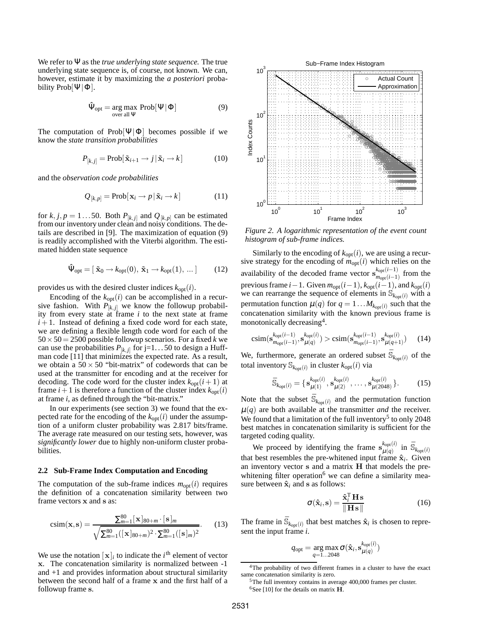We refer to Ψ as the *true underlying state sequence.* The true underlying state sequence is, of course, not known. We can, however, estimate it by maximizing the *a posteriori* probability Prob[ $\Psi$ ] $\Phi$ ].

$$
\hat{\Psi}_{opt} = \underset{\text{over all }\Psi}{\arg \max} \ \text{Prob}[\Psi | \Phi] \tag{9}
$$

The computation of Prob $[\Psi | \Phi]$  becomes possible if we know the *state transition probabilities*

$$
P_{[k,j]} = \text{Prob}[\tilde{\mathbf{x}}_{i+1} \to j | \tilde{\mathbf{x}}_i \to k]
$$
 (10)

and the *observation code probabilities*

$$
Q_{[k,p]} = \text{Prob}[\mathbf{x}_i \to p \,|\, \tilde{\mathbf{x}}_i \to k] \tag{11}
$$

for  $k$ ,  $j$ ,  $p = 1...50$ . Both  $P_{[k,j]}$  and  $Q_{[k,p]}$  can be estimated from our inventory under clean and noisy conditions. The details are described in [9]. The maximization of equation (9) is readily accomplished with the Viterbi algorithm. The estimated hidden state sequence

$$
\hat{\Psi}_{opt} = [\tilde{\mathbf{x}}_0 \to k_{opt}(0), \tilde{\mathbf{x}}_1 \to k_{opt}(1), \dots] \quad (12)
$$

provides us with the desired cluster indices  $k_{opt}(i)$ .

Encoding of the  $k_{opt}(i)$  can be accomplished in a recursive fashion. With  $P_{[k,j]}$  we know the followup probability from every state at frame *i* to the next state at frame  $i+1$ . Instead of defining a fixed code word for each state, we are defining a flexible length code word for each of the  $50 \times 50 = 2500$  possible followup scenarios. For a fixed *k* we can use the probabilities  $P_{[k,j]}$  for j=1...50 to design a Huffman code [11] that minimizes the expected rate. As a result, we obtain a  $50 \times 50$  "bit-matrix" of codewords that can be used at the transmitter for encoding and at the receiver for decoding. The code word for the cluster index  $k_{opt}(i + 1)$  at frame  $i+1$  is therefore a function of the cluster index  $k_{opt}(i)$ at frame *i*, as defined through the "bit-matrix."

In our experiments (see section 3) we found that the expected rate for the encoding of the  $k_{opt}(i)$  under the assumption of a uniform cluster probability was 2.817 bits/frame. The average rate measured on our testing sets, however, was *significantly lower* due to highly non-uniform cluster probabilities.

#### **2.2 Sub-Frame Index Computation and Encoding**

The computation of the sub-frame indices  $m_{\text{opt}}(i)$  requires the definition of a concatenation similarity between two frame vectors x and s as:

$$
csim(\mathbf{x}, \mathbf{s}) = \frac{\sum_{m=1}^{80} [\mathbf{x}]_{80+m} \cdot [\mathbf{s}]_m}{\sqrt{\sum_{m=1}^{80} ([\mathbf{x}]_{80+m})^2 \cdot \sum_{m=1}^{80} ([\mathbf{s}]_m)^2}}.
$$
 (13)

We use the notation  $[\mathbf{x}]_i$  to indicate the *i*<sup>th</sup> element of vector x. The concatenation similarity is normalized between -1 and +1 and provides information about structural similarity between the second half of a frame x and the first half of a followup frame s.



*Figure 2. A logarithmic representation of the event count histogram of sub-frame indices.*

Similarly to the encoding of  $k_{opt}(i)$ , we are using a recursive strategy for the encoding of  $m_{opt}(i)$  which relies on the availability of the decoded frame vector  $\mathbf{s}_{m}^{k_{opt}(i-1)}$  $\frac{m_{\text{opt}}(i-1)}{m_{\text{opt}}(i-1)}$  from the previous frame *i*−1. Given  $m_{opt}(i-1)$ ,  $k_{opt}(i-1)$ , and  $k_{opt}(i)$ we can rearrange the sequence of elements in  $\mathbb{S}_{k_{\text{opt}}(i)}$  with a permutation function  $\mu(q)$  for  $q = 1...M_{k_{opt}(i)}$  such that the concatenation similarity with the known previous frame is monotonically decreasing<sup>4</sup> .

$$
\text{csim}(\mathbf{s}_{m_{\text{opt}}(i-1)}^{k_{\text{opt}}(i-1)}, \mathbf{s}_{\mu(q)}^{k_{\text{opt}}(i)}) > \text{csim}(\mathbf{s}_{m_{\text{opt}}(i-1)}^{k_{\text{opt}}(i-1)}, \mathbf{s}_{\mu(q+1)}^{k_{\text{opt}}(i)}) \qquad (14)
$$

We, furthermore, generate an ordered subset  $\bar{\mathbb{S}}_{k_{\text{opt}}(i)}$  of the total inventory  $\mathbb{S}_{k_{\text{opt}}(i)}$  in cluster  $k_{\text{opt}}(i)$  via

$$
\bar{\mathbb{S}}_{k_{\text{opt}}(i)} = \{ \mathbf{s}_{\mu(1)}^{k_{\text{opt}}(i)}, \mathbf{s}_{\mu(2)}^{k_{\text{opt}}(i)}, \dots, \mathbf{s}_{\mu(2048)}^{k_{\text{opt}}(i)} \}.
$$
 (15)

Note that the subset  $\bar{\mathbb{S}}_{k_{\text{opt}}(i)}$  and the permutation function  $\mu(q)$  are both available at the transmitter *and* the receiver. We found that a limitation of the full inventory<sup>5</sup> to only 2048 best matches in concatenation similarity is sufficient for the targeted coding quality.

We proceed by identifying the frame  $\mathbf{s}_{\mu(\alpha)}^{k_{\text{opt}}(i)}$ We proceed by identifying the frame  $\mathbf{s}_{\mu(q)}^{k_{\text{opt}}(i)}$  in  $\bar{\mathbb{S}}_{k_{\text{opt}}(i)}$ <br>that best resembles the pre-whitened input frame  $\hat{\mathbf{x}}_i$ . Given an inventory vector  $s$  and a matrix  $H$  that models the prewhitening filter operation<sup>6</sup> we can define a similarity measure between  $\hat{\mathbf{x}}_i$  and **s** as follows:

$$
\sigma(\hat{\mathbf{x}}_i, \mathbf{s}) = \frac{\hat{\mathbf{x}}_i^{\mathrm{T}} \mathbf{H} \mathbf{s}}{\|\mathbf{H} \mathbf{s}\|}
$$
(16)

The frame in  $\bar{\mathbb{S}}_{k_{opt}(i)}$  that best matches  $\hat{\mathbf{x}}_i$  is chosen to represent the input frame *i*.

$$
q_{\text{opt}} = \underset{q=1...2048}{\arg\max} \sigma(\hat{\mathbf{x}}_i, \mathbf{s}_{\mu(q)}^{k_{\text{opt}}(i)})
$$

<sup>4</sup>The probability of two different frames in a cluster to have the exact same concatenation similarity is zero.

<sup>5</sup>The full inventory contains in average 400,000 frames per cluster. <sup>6</sup>See [10] for the details on matrix  $H$ .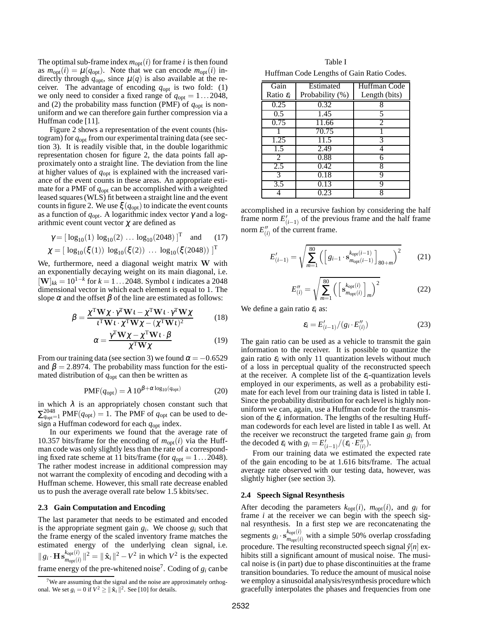The optimal sub-frame index  $m_{opt}(i)$  for frame *i* is then found as  $m_{\text{opt}}(i) = \mu(q_{\text{opt}})$ . Note that we can encode  $m_{\text{opt}}(i)$  indirectly through  $q_{\text{opt}}$ , since  $\mu(q)$  is also available at the receiver. The advantage of encoding  $q_{opt}$  is two fold: (1) we only need to consider a fixed range of  $q_{opt} = 1...2048$ , and (2) the probability mass function (PMF) of  $q_{opt}$  is nonuniform and we can therefore gain further compression via a Huffman code [11].

Figure 2 shows a representation of the event counts (histogram) for *q*opt from our experimental training data (see section 3). It is readily visible that, in the double logarithmic representation chosen for figure 2, the data points fall approximately onto a straight line. The deviation from the line at higher values of *q*opt is explained with the increased variance of the event counts in these areas. An appropriate estimate for a PMF of *q*opt can be accomplished with a weighted leased squares (WLS) fit between a straight line and the event counts in figure 2. We use  $\xi(q_{\text{opt}})$  to indicate the event counts as a function of  $q_{\text{opt}}$ . A logarithmic index vector  $\gamma$  and a logarithmic event count vector  $\chi$  are defined as

$$
\gamma = [\log_{10}(1) \log_{10}(2) \dots \log_{10}(2048)]^{\text{T}} \text{ and } (17)
$$
  

$$
\chi = [\log_{10}(\xi(1)) \log_{10}(\xi(2)) \dots \log_{10}(\xi(2048))]^{\text{T}}
$$

We, furthermore, need a diagonal weight matrix W with an exponentially decaying weight on its main diagonal, i.e.  $[\mathbf{W}]_{kk} = 10^{1-k}$  for  $k = 1...2048$ . Symbol *t* indicates a 2048 dimensional vector in which each element is equal to 1. The slope  $\alpha$  and the offset  $\beta$  of the line are estimated as follows:

$$
\beta = \frac{\chi^{\mathrm{T}} \mathbf{W} \chi \cdot \gamma^{\mathrm{T}} \mathbf{W} \mathbf{1} - \chi^{\mathrm{T}} \mathbf{W} \mathbf{1} \cdot \gamma^{\mathrm{T}} \mathbf{W} \chi}{\iota^{\mathrm{T}} \mathbf{W} \iota \cdot \chi^{\mathrm{T}} \mathbf{W} \chi - (\chi^{\mathrm{T}} \mathbf{W} \iota)^2}
$$
(18)

$$
\alpha = \frac{\gamma^{\mathrm{T}} \mathbf{W} \chi - \chi^{\mathrm{T}} \mathbf{W} \mathbf{1} \cdot \beta}{\chi^{\mathrm{T}} \mathbf{W} \chi}
$$
(19)

From our training data (see section 3) we found  $\alpha = -0.6529$ and  $\beta = 2.8974$ . The probability mass function for the estimated distribution of *q*opt can then be written as

$$
PMF(q_{\text{opt}}) = \lambda 10^{\beta + \alpha \log_{10}(q_{\text{opt}})} \tag{20}
$$

in which  $\lambda$  is an appropriately chosen constant such that  $\sum_{q_{\text{opt}}=1}^{2048}$  PMF( $q_{\text{opt}}$ ) = 1. The PMF of  $q_{\text{opt}}$  can be used to design a Huffman codeword for each *q*opt index.

In our experiments we found that the average rate of 10.357 bits/frame for the encoding of  $m_{opt}(i)$  via the Huffman code was only slightly less than the rate of a corresponding fixed rate scheme at 11 bits/frame (for  $q_{opt} = 1...2048$ ). The rather modest increase in additional compression may not warrant the complexity of encoding and decoding with a Huffman scheme. However, this small rate decrease enabled us to push the average overall rate below 1.5 kbits/sec.

#### **2.3 Gain Computation and Encoding**

The last parameter that needs to be estimated and encoded is the appropriate segment gain  $g_i$ . We choose  $g_i$  such that the frame energy of the scaled inventory frame matches the estimated energy of the underlying clean signal, i.e.  $||g_i \cdot \mathbf{H} \mathbf{s}_{m_{opt}(i)}^{k_{opt}(i)}||^2 = ||\hat{\mathbf{x}}_i||^2 - V^2$  in which  $V^2$  is the expected frame energy of the pre-whitened noise<sup>7</sup>. Coding of  $g_i$  can be

Table I Huffman Code Lengths of Gain Ratio Codes.

| Gain                     | Estimated       | Huffman Code  |
|--------------------------|-----------------|---------------|
| Ratio $\varepsilon_i$    | Probability (%) | Length (bits) |
| 0.25                     | 0.32            | 8             |
| 0.5                      | 1.45            | 5             |
| 0.75                     | 11.66           | 2             |
|                          | 70.75           |               |
| 1.25                     | 11.5            | 3             |
| 1.5                      | 2.49            |               |
| $\overline{\mathcal{L}}$ | 0.88            |               |
| 2.5                      | 0.42            | 8             |
| $\overline{\mathcal{E}}$ | 0.18            | q             |
| 3.5                      | 0.13            | q             |
|                          | 0.23            |               |

accomplished in a recursive fashion by considering the half frame norm  $E'_{(i-1)}$  of the previous frame and the half frame norm  $E''_{(i)}$  of the current frame.

$$
E'_{(i-1)} = \sqrt{\sum_{m=1}^{80} \left( \left[ g_{i-1} \cdot \mathbf{s}_{m_{\text{opt}}(i-1)}^{k_{\text{opt}}(i-1)} \right]_{80+m} \right)^2}
$$
(21)

$$
E_{(i)}'' = \sqrt{\sum_{m=1}^{80} \left( \left[ \mathbf{s}_{m_{\text{opt}}(i)}^{k_{\text{opt}}(i)} \right]_m \right)^2}
$$
 (22)

We define a gain ratio  $\varepsilon_i$  as:

$$
\varepsilon_i = E'_{(i-1)}/(g_i \cdot E''_{(i)}) \tag{23}
$$

The gain ratio can be used as a vehicle to transmit the gain information to the receiver. It is possible to quantize the gain ratio  $\varepsilon_i$  with only 11 quantization levels without much of a loss in perceptual quality of the reconstructed speech at the receiver. A complete list of the  $\varepsilon_i$ -quantization levels employed in our experiments, as well as a probability estimate for each level from our training data is listed in table I. Since the probability distribution for each level is highly nonuniform we can, again, use a Huffman code for the transmission of the  $\varepsilon_i$  information. The lengths of the resulting Huffman codewords for each level are listed in table I as well. At the receiver we reconstruct the targeted frame gain  $g_i$  from the decoded  $\varepsilon_i$  with  $g_i = E'_{(i-1)}/(\varepsilon_i \cdot E''_{(i)})$ .

From our training data we estimated the expected rate of the gain encoding to be at 1.616 bits/frame. The actual average rate observed with our testing data, however, was slightly higher (see section 3).

#### **2.4 Speech Signal Resynthesis**

After decoding the parameters  $k_{opt}(i)$ ,  $m_{opt}(i)$ , and  $g_i$  for frame *i* at the receiver we can begin with the speech signal resynthesis. In a first step we are reconcatenating the segments  $g_i \cdot s_{m_0t(i)}^{k_0t(i)}$  $\frac{M_{\text{opt}}(i)}{m_{\text{opt}}(i)}$  with a simple 50% overlap crossfading procedure. The resulting reconstructed speech signal  $\hat{y}[n]$  exhibits still a significant amount of musical noise. The musical noise is (in part) due to phase discontinuities at the frame transition boundaries. To reduce the amount of musical noise we employ a sinusoidal analysis/resynthesis procedure which gracefully interpolates the phases and frequencies from one

<sup>7</sup>We are assuming that the signal and the noise are approximately orthogonal. We set  $g_i = 0$  if  $V^2 \ge ||\hat{\mathbf{x}}_i||^2$ . See [10] for details.